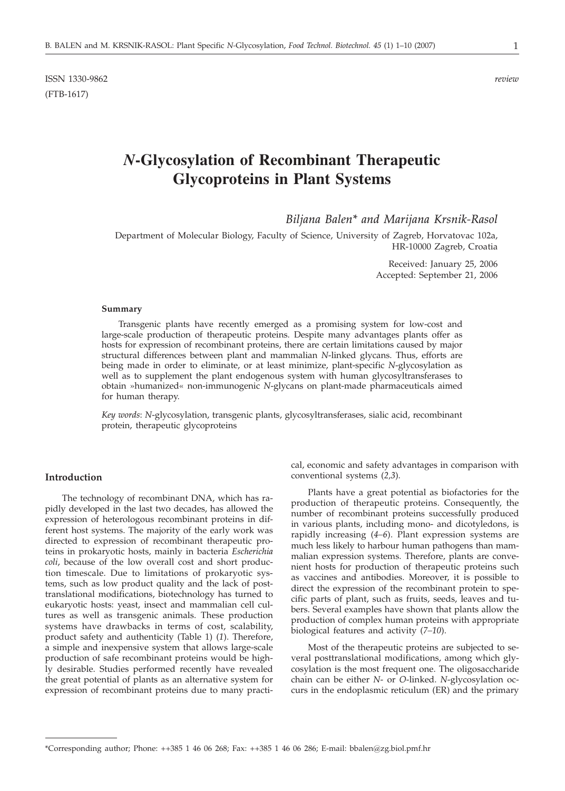ISSN 1330-9862 *review* (FTB-1617)

# *N***-Glycosylation of Recombinant Therapeutic Glycoproteins in Plant Systems**

*Biljana Balen\* and Marijana Krsnik-Rasol*

Department of Molecular Biology, Faculty of Science, University of Zagreb, Horvatovac 102a, HR-10000 Zagreb, Croatia

> Received: January 25, 2006 Accepted: September 21, 2006

#### **Summary**

Transgenic plants have recently emerged as a promising system for low-cost and large-scale production of therapeutic proteins. Despite many advantages plants offer as hosts for expression of recombinant proteins, there are certain limitations caused by major structural differences between plant and mammalian *N*-linked glycans. Thus, efforts are being made in order to eliminate, or at least minimize, plant-specific *N*-glycosylation as well as to supplement the plant endogenous system with human glycosyltransferases to obtain »humanized« non-immunogenic *N*-glycans on plant-made pharmaceuticals aimed for human therapy.

*Key words*: *N*-glycosylation, transgenic plants, glycosyltransferases, sialic acid, recombinant protein, therapeutic glycoproteins

#### **Introduction**

The technology of recombinant DNA, which has rapidly developed in the last two decades, has allowed the expression of heterologous recombinant proteins in different host systems. The majority of the early work was directed to expression of recombinant therapeutic proteins in prokaryotic hosts, mainly in bacteria *Escherichia coli*, because of the low overall cost and short production timescale. Due to limitations of prokaryotic systems, such as low product quality and the lack of posttranslational modifications, biotechnology has turned to eukaryotic hosts: yeast, insect and mammalian cell cultures as well as transgenic animals. These production systems have drawbacks in terms of cost, scalability, product safety and authenticity (Table 1) (*1*). Therefore, a simple and inexpensive system that allows large-scale production of safe recombinant proteins would be highly desirable. Studies performed recently have revealed the great potential of plants as an alternative system for expression of recombinant proteins due to many practical, economic and safety advantages in comparison with conventional systems (*2,3*).

Plants have a great potential as biofactories for the production of therapeutic proteins. Consequently, the number of recombinant proteins successfully produced in various plants, including mono- and dicotyledons, is rapidly increasing (*4–6*). Plant expression systems are much less likely to harbour human pathogens than mammalian expression systems. Therefore, plants are convenient hosts for production of therapeutic proteins such as vaccines and antibodies. Moreover, it is possible to direct the expression of the recombinant protein to specific parts of plant, such as fruits, seeds, leaves and tubers. Several examples have shown that plants allow the production of complex human proteins with appropriate biological features and activity (*7–10*).

Most of the therapeutic proteins are subjected to several posttranslational modifications, among which glycosylation is the most frequent one. The oligosaccharide chain can be either *N*- or *O*-linked. *N*-glycosylation occurs in the endoplasmic reticulum (ER) and the primary

<sup>\*</sup>Corresponding author; Phone: ++385 1 46 06 268; Fax: ++385 1 46 06 286; E-mail: bbalen*@*zg.biol.pmf.hr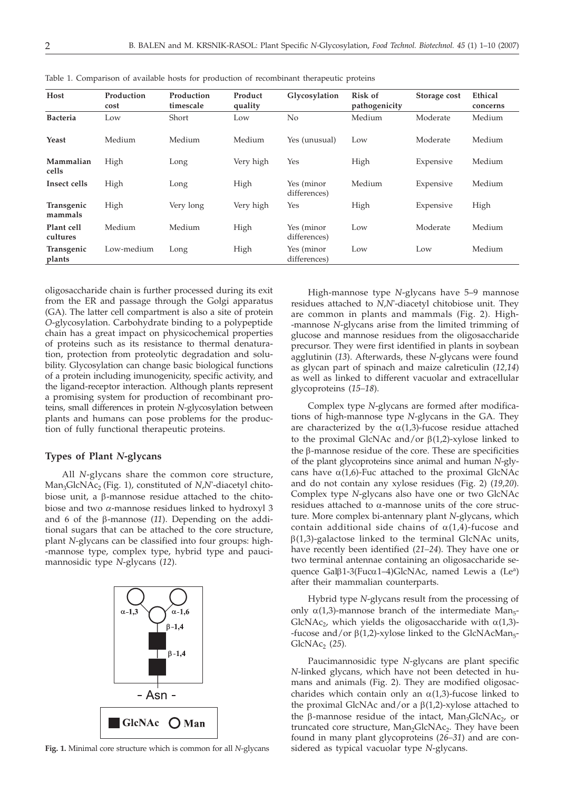| Host                   | Production<br>cost | Production<br>timescale | Product<br>quality | Glycosylation              | <b>Risk of</b><br>pathogenicity | Storage cost | Ethical<br>concerns |
|------------------------|--------------------|-------------------------|--------------------|----------------------------|---------------------------------|--------------|---------------------|
| <b>Bacteria</b>        | Low                | Short                   | Low                | No                         | Medium                          | Moderate     | Medium              |
| Yeast                  | Medium             | Medium                  | Medium             | Yes (unusual)              | Low                             | Moderate     | Medium              |
| Mammalian<br>cells     | High               | Long                    | Very high          | Yes                        | High                            | Expensive    | Medium              |
| Insect cells           | High               | Long                    | High               | Yes (minor<br>differences) | Medium                          | Expensive    | Medium              |
| Transgenic<br>mammals  | High               | Very long               | Very high          | Yes                        | High                            | Expensive    | High                |
| Plant cell<br>cultures | Medium             | Medium                  | High               | Yes (minor<br>differences) | Low                             | Moderate     | Medium              |
| Transgenic<br>plants   | Low-medium         | Long                    | High               | Yes (minor<br>differences) | Low                             | Low          | Medium              |

Table 1. Comparison of available hosts for production of recombinant therapeutic proteins

oligosaccharide chain is further processed during its exit from the ER and passage through the Golgi apparatus (GA). The latter cell compartment is also a site of protein *O*-glycosylation. Carbohydrate binding to a polypeptide chain has a great impact on physicochemical properties of proteins such as its resistance to thermal denaturation, protection from proteolytic degradation and solubility. Glycosylation can change basic biological functions of a protein including imunogenicity, specific activity, and the ligand-receptor interaction. Although plants represent a promising system for production of recombinant proteins, small differences in protein *N*-glycosylation between plants and humans can pose problems for the production of fully functional therapeutic proteins.

## **Types of Plant** *N***-glycans**

All *N*-glycans share the common core structure, Man<sub>3</sub>GlcNAc<sub>2</sub> (Fig. 1), constituted of *N*,*N*'-diacetyl chitobiose unit, a  $\beta$ -mannose residue attached to the chitobiose and two *a*-mannose residues linked to hydroxyl 3 and 6 of the  $\beta$ -mannose  $(11)$ . Depending on the additional sugars that can be attached to the core structure, plant *N*-glycans can be classified into four groups: high- -mannose type, complex type, hybrid type and paucimannosidic type *N*-glycans (*12*).



**Fig. 1.** Minimal core structure which is common for all *N*-glycans

High-mannose type *N*-glycans have 5–9 mannose residues attached to *N*,*N*'-diacetyl chitobiose unit. They are common in plants and mammals (Fig. 2). High- -mannose *N*-glycans arise from the limited trimming of glucose and mannose residues from the oligosaccharide precursor. They were first identified in plants in soybean agglutinin (*13*). Afterwards, these *N*-glycans were found as glycan part of spinach and maize calreticulin (*12,14*) as well as linked to different vacuolar and extracellular glycoproteins (*15–18*).

Complex type *N*-glycans are formed after modifications of high-mannose type *N*-glycans in the GA. They are characterized by the  $\alpha(1,3)$ -fucose residue attached to the proximal GlcNAc and/or  $\beta(1,2)$ -xylose linked to the b-mannose residue of the core. These are specificities of the plant glycoproteins since animal and human *N*-glycans have  $\alpha(1,6)$ -Fuc attached to the proximal GlcNAc and do not contain any xylose residues (Fig. 2) (*19,20*). Complex type *N*-glycans also have one or two GlcNAc residues attached to a-mannose units of the core structure. More complex bi-antennary plant *N*-glycans, which contain additional side chains of  $\alpha(1,4)$ -fucose and  $\beta(1,3)$ -galactose linked to the terminal GlcNAc units, have recently been identified (*21–24*). They have one or two terminal antennae containing an oligosaccharide sequence Gal $\beta$ 1-3(Fuc $\alpha$ 1–4)GlcNAc, named Lewis a (Le<sup>a</sup>) after their mammalian counterparts.

Hybrid type *N*-glycans result from the processing of only  $\alpha(1,3)$ -mannose branch of the intermediate Man<sub>5</sub>-GlcNAc<sub>2</sub>, which yields the oligosaccharide with  $\alpha(1,3)$ --fucose and/or  $\beta(1,2)$ -xylose linked to the GlcNAcMan<sub>5</sub>-GlcNAc2 (*25*).

Paucimannosidic type *N*-glycans are plant specific *N*-linked glycans, which have not been detected in humans and animals (Fig. 2). They are modified oligosaccharides which contain only an  $\alpha(1,3)$ -fucose linked to the proximal GlcNAc and/or a  $\beta(1,2)$ -xylose attached to the  $\beta$ -mannose residue of the intact, Man<sub>3</sub>GlcNAc<sub>2</sub>, or truncated core structure, Man<sub>2</sub>GlcNAc<sub>2</sub>. They have been found in many plant glycoproteins (*26–31*) and are considered as typical vacuolar type *N*-glycans.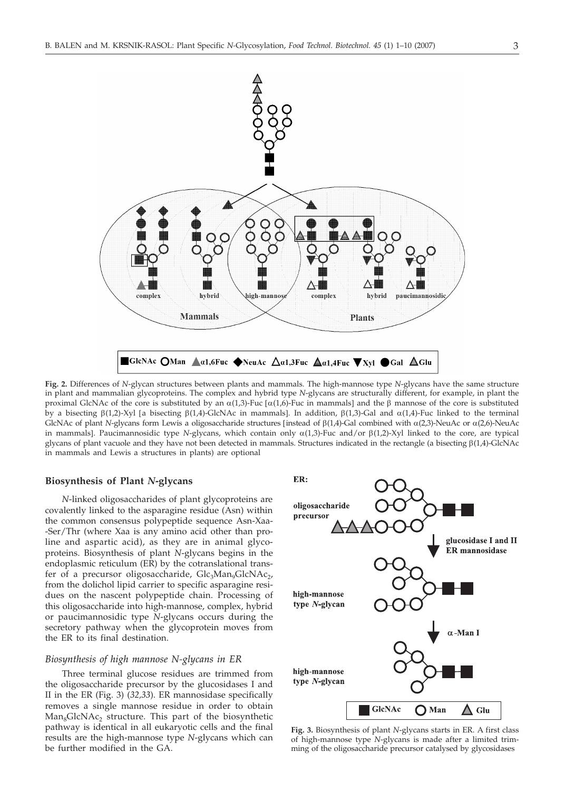

**Fig. 2.** Differences of *N*-glycan structures between plants and mammals. The high-mannose type *N*-glycans have the same structure in plant and mammalian glycoproteins. The complex and hybrid type *N*-glycans are structurally different, for example, in plant the proximal GlcNAc of the core is substituted by an  $\alpha(1,3)$ -Fuc  $\alpha(1,6)$ -Fuc in mammals] and the  $\beta$  mannose of the core is substituted by a bisecting  $\beta(1,2)$ -Xyl [a bisecting  $\beta(1,4)$ -GlcNAc in mammals]. In addition,  $\beta(1,3)$ -Gal and  $\alpha(1,4)$ -Fuc linked to the terminal GlcNAc of plant *N*-glycans form Lewis a oligosaccharide structures [instead of  $\beta(1,4)$ -Gal combined with  $\alpha(2,3)$ -NeuAc or  $\alpha(2,6)$ -NeuAc in mammals]. Paucimannosidic type *N*-glycans, which contain only  $\alpha(1,3)$ -Fuc and/or  $\beta(1,2)$ -Xyl linked to the core, are typical glycans of plant vacuole and they have not been detected in mammals. Structures indicated in the rectangle (a bisecting b(1,4)-GlcNAc in mammals and Lewis a structures in plants) are optional

## **Biosynthesis of Plant** *N***-glycans**

*N*-linked oligosaccharides of plant glycoproteins are covalently linked to the asparagine residue (Asn) within the common consensus polypeptide sequence Asn-Xaa- -Ser/Thr (where Xaa is any amino acid other than proline and aspartic acid), as they are in animal glycoproteins. Biosynthesis of plant *N*-glycans begins in the endoplasmic reticulum (ER) by the cotranslational transfer of a precursor oligosaccharide,  $Glc_3Man_9GlcNAc_2$ , from the dolichol lipid carrier to specific asparagine residues on the nascent polypeptide chain. Processing of this oligosaccharide into high-mannose, complex, hybrid or paucimannosidic type *N*-glycans occurs during the secretory pathway when the glycoprotein moves from the ER to its final destination.

#### *Biosynthesis of high mannose N-glycans in ER*

Three terminal glucose residues are trimmed from the oligosaccharide precursor by the glucosidases I and II in the ER (Fig. 3) (*32,33*). ER mannosidase specifically removes a single mannose residue in order to obtain  $Man_{8}GlcNAc_{2}$  structure. This part of the biosynthetic pathway is identical in all eukaryotic cells and the final results are the high-mannose type *N*-glycans which can be further modified in the GA.



**Fig. 3.** Biosynthesis of plant *N*-glycans starts in ER. A first class of high-mannose type *N*-glycans is made after a limited trimming of the oligosaccharide precursor catalysed by glycosidases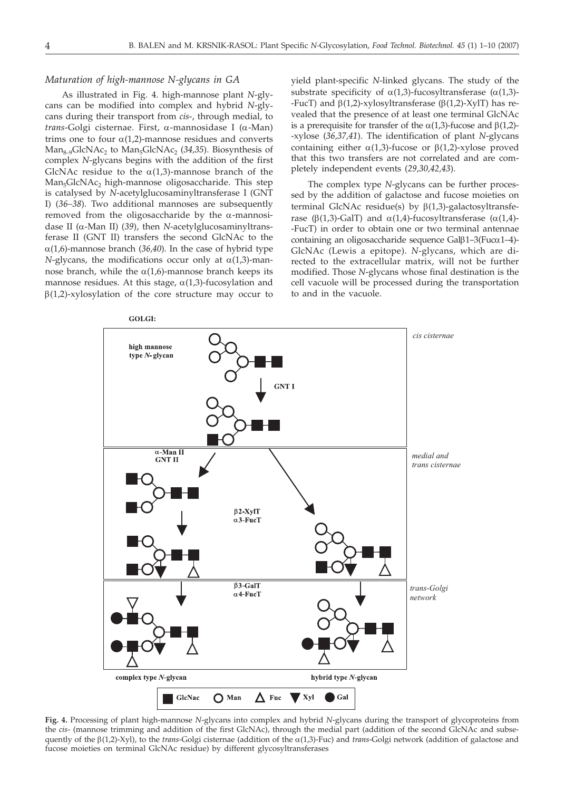## *Maturation of high-mannose N-glycans in GA*

As illustrated in Fig. 4. high-mannose plant *N*-glycans can be modified into complex and hybrid *N*-glycans during their transport from *cis*-, through medial, to *trans*-Golgi cisternae. First, a-mannosidase I (a-Man) trims one to four  $\alpha(1,2)$ -mannose residues and converts Man<sub>8–9</sub>GlcNAc<sub>2</sub> to Man<sub>5</sub>GlcNAc<sub>2</sub> (34,35). Biosynthesis of complex *N*-glycans begins with the addition of the first GlcNAc residue to the  $\alpha(1,3)$ -mannose branch of the Man<sub>5</sub>GlcNAc<sub>2</sub> high-mannose oligosaccharide. This step is catalysed by *N*-acetylglucosaminyltransferase I (GNT I) (*36–38*). Two additional mannoses are subsequently removed from the oligosaccharide by the  $\alpha$ -mannosidase II (a-Man II) (*39*), then *N*-acetylglucosaminyltransferase II (GNT II) transfers the second GlcNAc to the  $\alpha(1,6)$ -mannose branch (36,40). In the case of hybrid type *N*-glycans, the modifications occur only at  $\alpha(1,3)$ -mannose branch, while the  $\alpha(1.6)$ -mannose branch keeps its mannose residues. At this stage,  $\alpha(1,3)$ -fucosylation and  $\beta(1,2)$ -xylosylation of the core structure may occur to yield plant-specific *N*-linked glycans. The study of the substrate specificity of  $\alpha(1.3)$ -fucosyltransferase  $(\alpha(1.3)$ --FucT) and  $\beta(1,2)$ -xylosyltransferase ( $\beta(1,2)$ -XylT) has revealed that the presence of at least one terminal GlcNAc is a prerequisite for transfer of the  $\alpha(1,3)$ -fucose and  $\beta(1,2)$ --xylose (*36,37,41*). The identification of plant *N*-glycans containing either  $\alpha(1,3)$ -fucose or  $\beta(1,2)$ -xylose proved that this two transfers are not correlated and are completely independent events (*29,30,42,43*).

The complex type *N*-glycans can be further processed by the addition of galactose and fucose moieties on terminal GlcNAc residue(s) by  $\beta(1,3)$ -galactosyltransferase ( $\beta$ (1,3)-GalT) and  $\alpha$ (1,4)-fucosyltransferase ( $\alpha$ (1,4)--FucT) in order to obtain one or two terminal antennae containing an oligosaccharide sequence  $Gal \beta 1-3$ (Fuca1-4)-GlcNAc (Lewis a epitope). *N*-glycans, which are directed to the extracellular matrix, will not be further modified. Those *N*-glycans whose final destination is the cell vacuole will be processed during the transportation to and in the vacuole.



**Fig. 4.** Processing of plant high-mannose *N*-glycans into complex and hybrid *N*-glycans during the transport of glycoproteins from the *cis*- (mannose trimming and addition of the first GlcNAc), through the medial part (addition of the second GlcNAc and subsequently of the  $\beta(1,2)$ -Xyl), to the *trans*-Golgi cisternae (addition of the  $\alpha(1,3)$ -Fuc) and *trans*-Golgi network (addition of galactose and fucose moieties on terminal GlcNAc residue) by different glycosyltransferases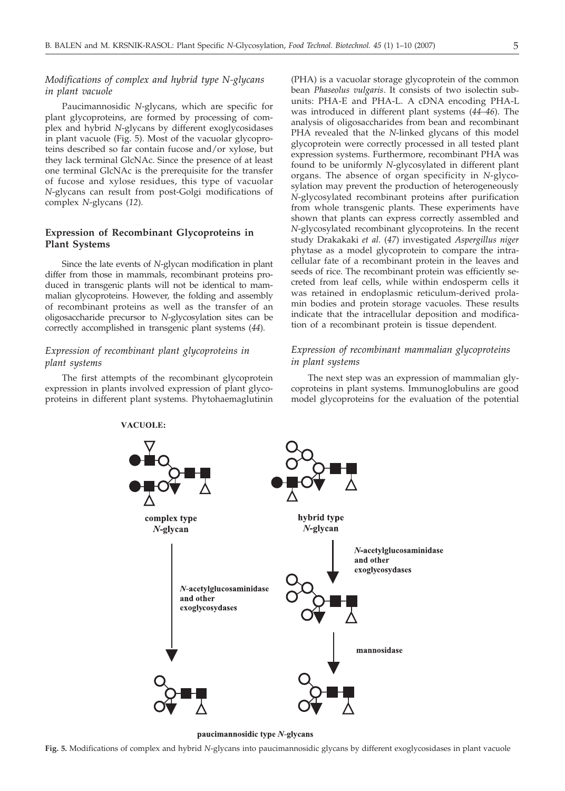# *Modifications of complex and hybrid type N-glycans in plant vacuole*

Paucimannosidic *N*-glycans, which are specific for plant glycoproteins, are formed by processing of complex and hybrid *N*-glycans by different exoglycosidases in plant vacuole (Fig. 5). Most of the vacuolar glycoproteins described so far contain fucose and/or xylose, but they lack terminal GlcNAc. Since the presence of at least one terminal GlcNAc is the prerequisite for the transfer of fucose and xylose residues, this type of vacuolar *N*-glycans can result from post-Golgi modifications of complex *N*-glycans (*12*).

## **Expression of Recombinant Glycoproteins in Plant Systems**

Since the late events of *N*-glycan modification in plant differ from those in mammals, recombinant proteins produced in transgenic plants will not be identical to mammalian glycoproteins. However, the folding and assembly of recombinant proteins as well as the transfer of an oligosaccharide precursor to *N*-glycosylation sites can be correctly accomplished in transgenic plant systems (*44*).

# *Expression of recombinant plant glycoproteins in plant systems*

The first attempts of the recombinant glycoprotein expression in plants involved expression of plant glycoproteins in different plant systems. Phytohaemaglutinin

(PHA) is a vacuolar storage glycoprotein of the common bean *Phaseolus vulgaris*. It consists of two isolectin subunits: PHA-E and PHA-L. A cDNA encoding PHA-L was introduced in different plant systems (*44–46*). The analysis of oligosaccharides from bean and recombinant PHA revealed that the *N*-linked glycans of this model glycoprotein were correctly processed in all tested plant expression systems. Furthermore, recombinant PHA was found to be uniformly *N*-glycosylated in different plant organs. The absence of organ specificity in *N*-glycosylation may prevent the production of heterogeneously *N*-glycosylated recombinant proteins after purification from whole transgenic plants. These experiments have shown that plants can express correctly assembled and *N*-glycosylated recombinant glycoproteins. In the recent study Drakakaki *et al.* (*47*) investigated *Aspergillus niger* phytase as a model glycoprotein to compare the intracellular fate of a recombinant protein in the leaves and seeds of rice. The recombinant protein was efficiently secreted from leaf cells, while within endosperm cells it was retained in endoplasmic reticulum-derived prolamin bodies and protein storage vacuoles. These results indicate that the intracellular deposition and modification of a recombinant protein is tissue dependent.

# *Expression of recombinant mammalian glycoproteins in plant systems*

The next step was an expression of mammalian glycoproteins in plant systems. Immunoglobulins are good model glycoproteins for the evaluation of the potential



paucimannosidic type N-glycans

#### **VACUOLE:**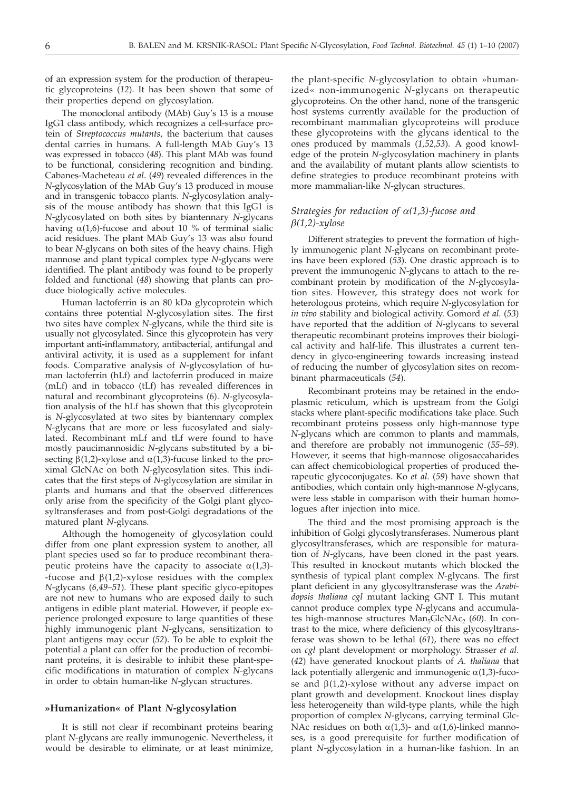of an expression system for the production of therapeutic glycoproteins (*12*). It has been shown that some of their properties depend on glycosylation.

The monoclonal antibody (MAb) Guy's 13 is a mouse IgG1 class antibody, which recognizes a cell-surface protein of *Streptococcus mutants*, the bacterium that causes dental carries in humans. A full-length MAb Guy's 13 was expressed in tobacco (*48*). This plant MAb was found to be functional, considering recognition and binding. Cabanes-Macheteau *et al*. (*49*) revealed differences in the *N*-glycosylation of the MAb Guy's 13 produced in mouse and in transgenic tobacco plants. *N*-glycosylation analysis of the mouse antibody has shown that this IgG1 is *N*-glycosylated on both sites by biantennary *N*-glycans having  $\alpha(1,6)$ -fucose and about 10 % of terminal sialic acid residues. The plant MAb Guy's 13 was also found to bear *N*-glycans on both sites of the heavy chains. High mannose and plant typical complex type *N*-glycans were identified. The plant antibody was found to be properly folded and functional (*48*) showing that plants can produce biologically active molecules.

Human lactoferrin is an 80 kDa glycoprotein which contains three potential *N*-glycosylation sites. The first two sites have complex *N*-glycans, while the third site is usually not glycosylated. Since this glycoprotein has very important anti**-**inflammatory, antibacterial, antifungal and antiviral activity, it is used as a supplement for infant foods. Comparative analysis of *N*-glycosylation of human lactoferrin (hLf) and lactoferrin produced in maize (mLf) and in tobacco (tLf) has revealed differences in natural and recombinant glycoproteins (6). *N*-glycosylation analysis of the hLf has shown that this glycoprotein is *N*-glycosylated at two sites by biantennary complex *N*-glycans that are more or less fucosylated and sialylated. Recombinant mLf and tLf were found to have mostly paucimannosidic *N*-glycans substituted by a bisecting  $\beta(1,2)$ -xylose and  $\alpha(1,3)$ -fucose linked to the proximal GlcNAc on both *N*-glycosylation sites. This indicates that the first steps of *N*-glycosylation are similar in plants and humans and that the observed differences only arise from the specificity of the Golgi plant glycosyltransferases and from post-Golgi degradations of the matured plant *N*-glycans.

Although the homogeneity of glycosylation could differ from one plant expression system to another, all plant species used so far to produce recombinant therapeutic proteins have the capacity to associate  $\alpha(1,3)$ --fucose and  $\beta(1,2)$ -xylose residues with the complex *N*-glycans (*6,49–51*). These plant specific glyco-epitopes are not new to humans who are exposed daily to such antigens in edible plant material. However, if people experience prolonged exposure to large quantities of these highly immunogenic plant *N*-glycans, sensitization to plant antigens may occur (*52*). To be able to exploit the potential a plant can offer for the production of recombinant proteins, it is desirable to inhibit these plant-specific modifications in maturation of complex *N*-glycans in order to obtain human-like *N*-glycan structures.

#### **»Humanization« of Plant** *N***-glycosylation**

It is still not clear if recombinant proteins bearing plant *N*-glycans are really immunogenic. Nevertheless, it would be desirable to eliminate, or at least minimize,

the plant-specific *N*-glycosylation to obtain »humanized« non-immunogenic *N*-glycans on therapeutic glycoproteins. On the other hand, none of the transgenic host systems currently available for the production of recombinant mammalian glycoproteins will produce these glycoproteins with the glycans identical to the ones produced by mammals (*1,52,53*). A good knowledge of the protein *N*-glycosylation machinery in plants and the availability of mutant plants allow scientists to define strategies to produce recombinant proteins with more mammalian-like *N*-glycan structures.

## *Strategies for reduction of*  $\alpha(1,3)$ -fucose and *b(1,2)-xylose*

Different strategies to prevent the formation of highly immunogenic plant *N*-glycans on recombinant proteins have been explored (*53*). One drastic approach is to prevent the immunogenic *N*-glycans to attach to the recombinant protein by modification of the *N*-glycosylation sites. However, this strategy does not work for heterologous proteins, which require *N*-glycosylation for *in vivo* stability and biological activity. Gomord *et al.* (*53*) have reported that the addition of *N*-glycans to several therapeutic recombinant proteins improves their biological activity and half-life. This illustrates a current tendency in glyco-engineering towards increasing instead of reducing the number of glycosylation sites on recombinant pharmaceuticals (*54*).

Recombinant proteins may be retained in the endoplasmic reticulum, which is upstream from the Golgi stacks where plant-specific modifications take place. Such recombinant proteins possess only high-mannose type *N*-glycans which are common to plants and mammals, and therefore are probably not immunogenic (*55–59*). However, it seems that high-mannose oligosaccaharides can affect chemicobiological properties of produced therapeutic glycoconjugates. Ko *et al.* (*59*) have shown that antibodies, which contain only high-mannose *N*-glycans, were less stable in comparison with their human homologues after injection into mice.

The third and the most promising approach is the inhibition of Golgi glycoslytransferases. Numerous plant glycosyltransferases, which are responsible for maturation of *N*-glycans, have been cloned in the past years. This resulted in knockout mutants which blocked the synthesis of typical plant complex *N*-glycans. The first plant deficient in any glycosyltransferase was the *Arabidopsis thaliana cgl* mutant lacking GNT I. This mutant cannot produce complex type *N*-glycans and accumulates high-mannose structures Man<sub>5</sub>GlcNAc<sub>2</sub> (60). In contrast to the mice, where deficiency of this glycosyltransferase was shown to be lethal (*61*), there was no effect on *cgl* plant development or morphology. Strasser *et al.* (*42*) have generated knockout plants of *A. thaliana* that lack potentially allergenic and immunogenic  $\alpha(1,3)$ -fucose and  $\beta(1,2)$ -xylose without any adverse impact on plant growth and development. Knockout lines display less heterogeneity than wild-type plants, while the high proportion of complex *N*-glycans, carrying terminal Glc-NAc residues on both  $\alpha(1,3)$ - and  $\alpha(1,6)$ -linked mannoses, is a good prerequisite for further modification of plant *N*-glycosylation in a human-like fashion. In an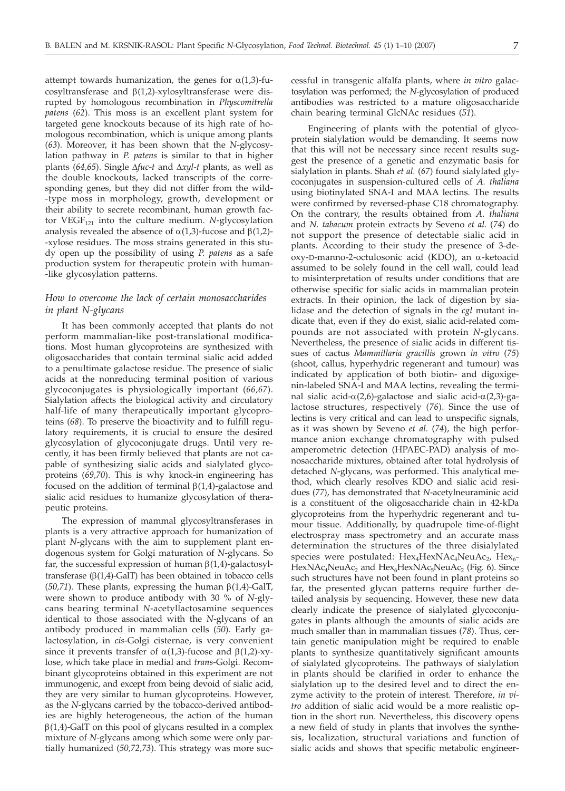attempt towards humanization, the genes for  $\alpha(1,3)$ -fucosyltransferase and  $\beta(1,2)$ -xylosyltransferase were disrupted by homologous recombination in *Physcomitrella patens* (*62*). This moss is an excellent plant system for targeted gene knockouts because of its high rate of homologous recombination, which is unique among plants (*63*). Moreover, it has been shown that the *N*-glycosylation pathway in *P. patens* is similar to that in higher plants (64,65). Single  $\Delta fuc-t$  and  $\Delta xyl-t$  plants, as well as the double knockouts, lacked transcripts of the corre-

sponding genes, but they did not differ from the wild- -type moss in morphology, growth, development or their ability to secrete recombinant, human growth factor  $VEGF_{121}$  into the culture medium. *N*-glycosylation analysis revealed the absence of  $\alpha(1,3)$ -fucose and  $\beta(1,2)$ --xylose residues. The moss strains generated in this study open up the possibility of using *P. patens* as a safe production system for therapeutic protein with human- -like glycosylation patterns.

# *How to overcome the lack of certain monosaccharides in plant N-glycans*

It has been commonly accepted that plants do not perform mammalian-like post-translational modifications. Most human glycoproteins are synthesized with oligosaccharides that contain terminal sialic acid added to a penultimate galactose residue. The presence of sialic acids at the nonreducing terminal position of various glycoconjugates is physiologically important (*66,67*). Sialylation affects the biological activity and circulatory half-life of many therapeutically important glycoproteins (*68*). To preserve the bioactivity and to fulfill regulatory requirements, it is crucial to ensure the desired glycosylation of glycoconjugate drugs. Until very recently, it has been firmly believed that plants are not capable of synthesizing sialic acids and sialylated glycoproteins (*69,70*). This is why knock-in engineering has focused on the addition of terminal  $\beta(1,4)$ -galactose and sialic acid residues to humanize glycosylation of therapeutic proteins.

The expression of mammal glycosyltransferases in plants is a very attractive approach for humanization of plant *N*-glycans with the aim to supplement plant endogenous system for Golgi maturation of *N*-glycans. So far, the successful expression of human  $\beta(1,4)$ -galactosyltransferase  $(\beta(1,4)-GalT)$  has been obtained in tobacco cells ( $50,71$ ). These plants, expressing the human  $\beta(1,4)$ -GalT, were shown to produce antibody with 30 % of *N*-glycans bearing terminal *N*-acetyllactosamine sequences identical to those associated with the *N*-glycans of an antibody produced in mammalian cells (*50*). Early galactosylation, in *cis*-Golgi cisternae, is very convenient since it prevents transfer of  $\alpha(1,3)$ -fucose and  $\beta(1,2)$ -xylose, which take place in medial and *trans*-Golgi. Recombinant glycoproteins obtained in this experiment are not immunogenic, and except from being devoid of sialic acid, they are very similar to human glycoproteins. However, as the *N*-glycans carried by the tobacco-derived antibodies are highly heterogeneous, the action of the human  $\beta(1,4)$ -GalT on this pool of glycans resulted in a complex mixture of *N*-glycans among which some were only partially humanized (*50,72,73*). This strategy was more successful in transgenic alfalfa plants, where *in vitro* galactosylation was performed; the *N*-glycosylation of produced antibodies was restricted to a mature oligosaccharide chain bearing terminal GlcNAc residues (*51*).

Engineering of plants with the potential of glycoprotein sialylation would be demanding. It seems now that this will not be necessary since recent results suggest the presence of a genetic and enzymatic basis for sialylation in plants. Shah *et al.* (*67*) found sialylated glycoconjugates in suspension-cultured cells of *A. thaliana* using biotinylated SNA-I and MAA lectins. The results were confirmed by reversed-phase C18 chromatography. On the contrary, the results obtained from *A. thaliana* and *N. tabacum* protein extracts by Seveno *et al.* (*74*) do not support the presence of detectable sialic acid in plants. According to their study the presence of 3-deoxy-D-manno-2-octulosonic acid (KDO), an a-ketoacid assumed to be solely found in the cell wall, could lead to misinterpretation of results under conditions that are otherwise specific for sialic acids in mammalian protein extracts. In their opinion, the lack of digestion by sialidase and the detection of signals in the *cgl* mutant indicate that, even if they do exist, sialic acid-related compounds are not associated with protein *N*-glycans. Nevertheless, the presence of sialic acids in different tissues of cactus *Mammillaria gracillis* grown *in vitro* (*75*) (shoot, callus, hyperhydric regenerant and tumour) was indicated by application of both biotin- and digoxigenin-labeled SNA-I and MAA lectins, revealing the terminal sialic acid- $\alpha$ (2,6)-galactose and sialic acid- $\alpha$ (2,3)-galactose structures, respectively (*76*). Since the use of lectins is very critical and can lead to unspecific signals, as it was shown by Seveno *et al.* (*74*), the high performance anion exchange chromatography with pulsed amperometric detection (HPAEC-PAD) analysis of monosaccharide mixtures, obtained after total hydrolysis of detached *N*-glycans, was performed. This analytical method, which clearly resolves KDO and sialic acid residues (*77*), has demonstrated that *N*-acetylneuraminic acid is a constituent of the oligosaccharide chain in 42-kDa glycoproteins from the hyperhydric regenerant and tumour tissue. Additionally, by quadrupole time-of-flight electrospray mass spectrometry and an accurate mass determination the structures of the three disialylated species were postulated:  $Hex_AHexNAc_ANewAc_2$ ,  $Hex_6$ -HexNAc<sub>4</sub>NeuAc<sub>2</sub> and Hex<sub>6</sub>HexNAc<sub>5</sub>NeuAc<sub>2</sub> (Fig. 6). Since such structures have not been found in plant proteins so far, the presented glycan patterns require further detailed analysis by sequencing. However, these new data clearly indicate the presence of sialylated glycoconjugates in plants although the amounts of sialic acids are much smaller than in mammalian tissues (*78*). Thus, certain genetic manipulation might be required to enable plants to synthesize quantitatively significant amounts of sialylated glycoproteins. The pathways of sialylation in plants should be clarified in order to enhance the sialylation up to the desired level and to direct the enzyme activity to the protein of interest. Therefore, *in vitro* addition of sialic acid would be a more realistic option in the short run. Nevertheless, this discovery opens a new field of study in plants that involves the synthesis, localization, structural variations and function of sialic acids and shows that specific metabolic engineer-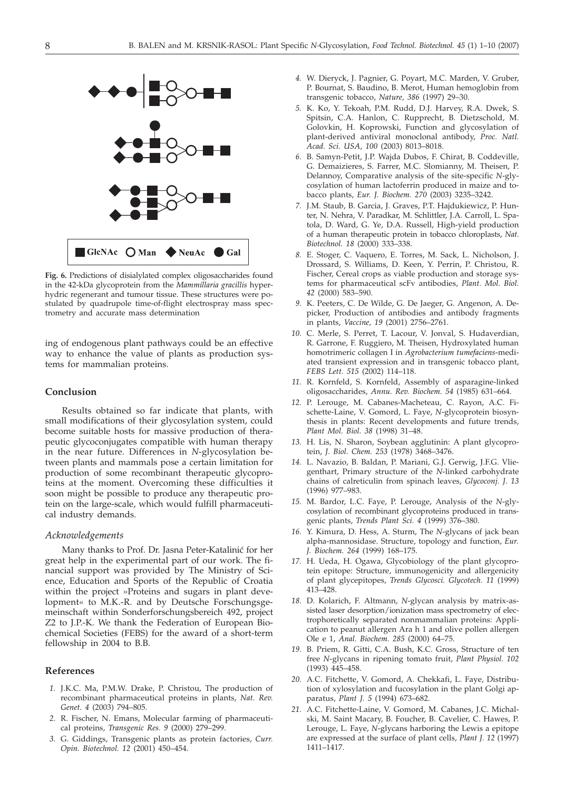

**Fig. 6.** Predictions of disialylated complex oligosaccharides found in the 42-kDa glycoprotein from the *Mammillaria gracillis* hyperhydric regenerant and tumour tissue. These structures were postulated by quadrupole time-of-flight electrospray mass spectrometry and accurate mass determination

ing of endogenous plant pathways could be an effective way to enhance the value of plants as production systems for mammalian proteins.

## **Conclusion**

Results obtained so far indicate that plants, with small modifications of their glycosylation system, could become suitable hosts for massive production of therapeutic glycoconjugates compatible with human therapy in the near future. Differences in *N*-glycosylation between plants and mammals pose a certain limitation for production of some recombinant therapeutic glycoproteins at the moment. Overcoming these difficulties it soon might be possible to produce any therapeutic protein on the large-scale, which would fulfill pharmaceutical industry demands.

#### *Acknowledgements*

Many thanks to Prof. Dr. Jasna Peter-Katalinić for her great help in the experimental part of our work. The financial support was provided by The Ministry of Science, Education and Sports of the Republic of Croatia within the project »Proteins and sugars in plant development« to M.K.-R. and by Deutsche Forschungsgemeinschaft within Sonderforschungsbereich 492, project Z2 to J.P.-K. We thank the Federation of European Biochemical Societies (FEBS) for the award of a short-term fellowship in 2004 to B.B.

#### **References**

- *1.* J.K.C. Ma, P.M.W. Drake, P. Christou, The production of recombinant pharmaceutical proteins in plants, *Nat. Rev. Genet. 4* (2003) 794–805.
- *2.* R. Fischer, N. Emans, Molecular farming of pharmaceutical proteins, *Transgenic Res. 9* (2000) 279–299.
- *3.* G. Giddings, Transgenic plants as protein factories, *Curr. Opin. Biotechnol. 12* (2001) 450–454.
- *4.* W. Dieryck, J. Pagnier, G. Poyart, M.C. Marden, V. Gruber, P. Bournat, S. Baudino, B. Merot, Human hemoglobin from transgenic tobacco, *Nature, 386* (1997) 29–30.
- *5.* K. Ko, Y. Tekoah, P.M. Rudd, D.J. Harvey, R.A. Dwek, S. Spitsin, C.A. Hanlon, C. Rupprecht, B. Dietzschold, M. Golovkin, H. Koprowski, Function and glycosylation of plant-derived antiviral monoclonal antibody, *Proc. Natl. Acad. Sci. USA, 100* (2003) 8013–8018.
- *6.* B. Samyn-Petit, J.P. Wajda Dubos, F. Chirat, B. Coddeville, G. Demaizieres, S. Farrer, M.C. Slomianny, M. Theisen, P. Delannoy, Comparative analysis of the site-specific *N*-glycosylation of human lactoferrin produced in maize and tobacco plants, *Eur. J. Biochem. 270* (2003) 3235–3242.
- *7.* J.M. Staub, B. Garcia, J. Graves, P.T. Hajdukiewicz, P. Hunter, N. Nehra, V. Paradkar, M. Schlittler, J.A. Carroll, L. Spatola, D. Ward, G. Ye, D.A. Russell, High-yield production of a human therapeutic protein in tobacco chloroplasts, *Nat. Biotechnol. 18* (2000) 333–338.
- *8.* E. Stoger, C. Vaquero, E. Torres, M. Sack, L. Nicholson, J. Drossard, S. Williams, D. Keen, Y. Perrin, P. Christou, R. Fischer, Cereal crops as viable production and storage systems for pharmaceutical scFv antibodies, *Plant. Mol. Biol. 42* (2000) 583–590.
- *9.* K. Peeters, C. De Wilde, G. De Jaeger, G. Angenon, A. Depicker, Production of antibodies and antibody fragments in plants, *Vaccine, 19* (2001) 2756–2761.
- *10.* C. Merle, S. Perret, T. Lacour, V. Jonval, S. Hudaverdian, R. Garrone, F. Ruggiero, M. Theisen, Hydroxylated human homotrimeric collagen I in *Agrobacterium tumefaciens*-mediated transient expression and in transgenic tobacco plant, *FEBS Lett. 515* (2002) 114–118.
- *11.* R. Kornfeld, S. Kornfeld, Assembly of asparagine-linked oligosaccharides, *Annu. Rev. Biochem. 54* (1985) 631–664.
- *12.* P. Lerouge, M. Cabanes-Macheteau, C. Rayon, A.C. Fischette-Laine, V. Gomord, L. Faye, *N*-glycoprotein biosynthesis in plants: Recent developments and future trends, *Plant Mol. Biol. 38* (1998) 31–48.
- *13.* H. Lis, N. Sharon, Soybean agglutinin: A plant glycoprotein, *J. Biol. Chem. 253* (1978) 3468–3476.
- *14.* L. Navazio, B. Baldan, P. Mariani, G.J. Gerwig, J.F.G. Vliegenthart, Primary structure of the *N*-linked carbohydrate chains of calreticulin from spinach leaves, *Glycoconj. J. 13* (1996) 977–983.
- *15.* M. Bardor, L.C. Faye, P. Lerouge, Analysis of the *N*-glycosylation of recombinant glycoproteins produced in transgenic plants, *Trends Plant Sci. 4* (1999) 376–380.
- *16.* Y. Kimura, D. Hess, A. Sturm, The *N*-glycans of jack bean alpha-mannosidase. Structure, topology and function, *Eur. J. Biochem. 264* (1999) 168–175.
- *17.* H. Ueda, H. Ogawa, Glycobiology of the plant glycoprotein epitope: Structure, immunogenicity and allergenicity of plant glycepitopes, *Trends Glycosci. Glycotech. 11* (1999) 413–428.
- *18.* D. Kolarich, F. Altmann, *N*-glycan analysis by matrix-assisted laser desorption/ionization mass spectrometry of electrophoretically separated nonmammalian proteins: Application to peanut allergen Ara h 1 and olive pollen allergen Ole e 1, *Anal. Biochem. 285* (2000) 64–75.
- *19.* B. Priem, R. Gitti, C.A. Bush, K.C. Gross, Structure of ten free *N*-glycans in ripening tomato fruit, *Plant Physiol. 102* (1993) 445–458.
- *20.* A.C. Fitchette, V. Gomord, A. Chekkafi, L. Faye, Distribution of xylosylation and fucosylation in the plant Golgi apparatus, *Plant J. 5* (1994) 673–682.
- *21.* A.C. Fitchette-Laine, V. Gomord, M. Cabanes, J.C. Michalski, M. Saint Macary, B. Foucher, B. Cavelier, C. Hawes, P. Lerouge, L. Faye, *N*-glycans harboring the Lewis a epitope are expressed at the surface of plant cells, *Plant J. 12* (1997) 1411–1417.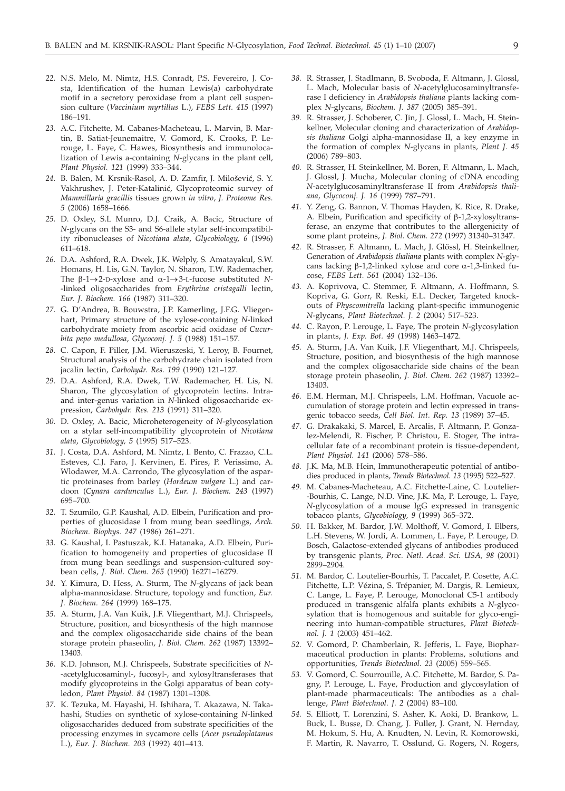- *22.* N.S. Melo, M. Nimtz, H.S. Conradt, P.S. Fevereiro, J. Costa, Identification of the human Lewis(a) carbohydrate motif in a secretory peroxidase from a plant cell suspension culture (*Vaccinium myrtillus* L.), *FEBS Lett. 415* (1997) 186–191.
- *23.* A.C. Fitchette, M. Cabanes-Macheteau, L. Marvin, B. Martin, B. Satiat-Jeunemaitre, V. Gomord, K. Crooks, P. Lerouge, L. Faye, C. Hawes, Biosynthesis and immunolocalization of Lewis a-containing *N*-glycans in the plant cell, *Plant Physiol. 121* (1999) 333–344.
- 24. B. Balen, M. Krsnik-Rasol, A. D. Zamfir, J. Milošević, S. Y. Vakhrushev, J. Peter-Katalinić, Glycoproteomic survey of *Mammillaria gracillis* tissues grown *in vitro*, *J. Proteome Res. 5* (2006) 1658–1666.
- *25.* D. Oxley, S.L Munro, D.J. Craik, A. Bacic, Structure of *N*-glycans on the S3- and S6-allele stylar self-incompatibility ribonucleases of *Nicotiana alata*, *Glycobiology, 6* (1996) 611–618.
- *26.* D.A. Ashford, R.A. Dwek, J.K. Welply, S. Amatayakul, S.W. Homans, H. Lis, G.N. Taylor, N. Sharon, T.W. Rademacher, The  $\beta$ -1 $\rightarrow$ 2-D-xylose and  $\alpha$ -1 $\rightarrow$ 3-L-fucose substituted *N*--linked oligosaccharides from *Erythrina cristagalli* lectin, *Eur. J. Biochem. 166* (1987) 311–320.
- *27.* G. D'Andrea, B. Bouwstra, J.P. Kamerling, J.F.G. Vliegenhart, Primary structure of the xylose-containing *N*-linked carbohydrate moiety from ascorbic acid oxidase of *Cucurbita pepo medullosa*, *Glycoconj. J. 5* (1988) 151–157.
- *28.* C. Capon, F. Piller, J.M. Wieruszeski, Y. Leroy, B. Fournet, Structural analysis of the carbohydrate chain isolated from jacalin lectin, *Carbohydr. Res. 199* (1990) 121–127.
- *29.* D.A. Ashford, R.A. Dwek, T.W. Rademacher, H. Lis, N. Sharon, The glycosylation of glycoprotein lectins. Intraand inter-genus variation in *N*-linked oligosaccharide expression, *Carbohydr. Res. 213* (1991) 311–320.
- *30.* D. Oxley, A. Bacic, Microheterogeneity of *N-*glycosylation on a stylar self-incompatibility glycoprotein of *Nicotiana alata*, *Glycobiology, 5* (1995) 517–523.
- *31.* J. Costa, D.A. Ashford, M. Nimtz, I. Bento, C. Frazao, C.L. Esteves, C.J. Faro, J. Kervinen, E. Pires, P. Verissimo, A. Wlodawer, M.A. Carrondo, The glycosylation of the aspartic proteinases from barley (*Hordeum vulgare* L.) and cardoon (*Cynara cardunculus* L.), *Eur. J. Biochem. 243* (1997) 695–700.
- *32.* T. Szumilo, G.P. Kaushal, A.D. Elbein, Purification and properties of glucosidase I from mung bean seedlings, *Arch. Biochem. Biophys. 247* (1986) 261–271.
- *33.* G. Kaushal, I. Pastuszak, K.I. Hatanaka, A.D. Elbein, Purification to homogeneity and properties of glucosidase II from mung bean seedlings and suspension-cultured soybean cells, *J. Biol. Chem. 265* (1990) 16271–16279.
- *34.* Y. Kimura, D. Hess, A. Sturm, The *N*-glycans of jack bean alpha-mannosidase. Structure, topology and function, *Eur. J. Biochem. 264* (1999) 168–175.
- *35.* A. Sturm, J.A. Van Kuik, J.F. Vliegenthart, M.J. Chrispeels, Structure, position, and biosynthesis of the high mannose and the complex oligosaccharide side chains of the bean storage protein phaseolin, *J. Biol. Chem. 262* (1987) 13392– 13403.
- *36.* K.D. Johnson, M.J. Chrispeels, Substrate specificities of *N* -acetylglucosaminyl-, fucosyl-, and xylosyltransferases that modify glycoproteins in the Golgi apparatus of bean cotyledon, *Plant Physiol. 84* (1987) 1301–1308.
- *37.* K. Tezuka, M. Hayashi, H. Ishihara, T. Akazawa, N. Takahashi, Studies on synthetic of xylose-containing *N*-linked oligosaccharides deduced from substrate specificities of the processing enzymes in sycamore cells (*Acer pseudoplatanus* L.), *Eur. J. Biochem. 203* (1992) 401–413.
- *38.* R. Strasser, J. Stadlmann, B. Svoboda, F. Altmann, J. Glossl, L. Mach, Molecular basis of *N*-acetylglucosaminyltransferase I deficiency in *Arabidopsis thaliana* plants lacking complex *N*-glycans, *Biochem. J*. *387* (2005) 385–391.
- *39.* R. Strasser, J. Schoberer, C. Jin, J. Glossl, L. Mach, H. Steinkellner, Molecular cloning and characterization of *Arabidopsis thaliana* Golgi alpha-mannosidase II, a key enzyme in the formation of complex *N*-glycans in plants, *Plant J. 45* (2006) 789–803.
- *40.* R. Strasser, H. Steinkellner, M. Boren, F. Altmann, L. Mach, J. Glossl, J. Mucha, Molecular cloning of cDNA encoding *N*-acetylglucosaminyltransferase II from *Arabidopsis thaliana*, *Glycoconj. J. 16* (1999) 787–791.
- *41.* Y. Zeng, G. Bannon, V. Thomas Hayden, K. Rice, R. Drake, A. Elbein, Purification and specificity of  $\beta$ -1,2-xylosyltransferase, an enzyme that contributes to the allergenicity of some plant proteins, *J. Biol. Chem. 272* (1997) 31340–31347.
- *42.* R. Strasser, F. Altmann, L. Mach, J. Glössl, H. Steinkellner, Generation of *Arabidopsis thaliana* plants with complex *N*-glycans lacking  $\beta$ -1,2-linked xylose and core  $\alpha$ -1,3-linked fucose, *FEBS Lett. 561* (2004) 132–136.
- *43.* A. Koprivova, C. Stemmer, F. Altmann, A. Hoffmann, S. Kopriva, G. Gorr, R. Reski, E.L. Decker, Targeted knockouts of *Physcomitrella* lacking plant-specific immunogenic *N*-glycans, *Plant Biotechnol. J. 2* (2004) 517–523.
- *44.* C. Rayon, P. Lerouge, L. Faye, The protein *N*-glycosylation in plants, *J. Exp. Bot. 49* (1998) 1463–1472.
- *45.* A. Sturm, J.A. Van Kuik, J.F. Vliegenthart, M.J. Chrispeels, Structure, position, and biosynthesis of the high mannose and the complex oligosaccharide side chains of the bean storage protein phaseolin, *J. Biol. Chem. 262* (1987) 13392– 13403.
- *46.* E.M. Herman, M.J. Chrispeels, L.M. Hoffman, Vacuole accumulation of storage protein and lectin expressed in transgenic tobacco seeds, *Cell Biol. Int. Rep. 13* (1989) 37–45.
- *47.* G. Drakakaki, S. Marcel, E. Arcalis, F. Altmann, P. Gonzalez-Melendi, R. Fischer, P. Christou, E. Stoger, The intracellular fate of a recombinant protein is tissue-dependent, *Plant Physiol. 141* (2006) 578–586.
- *48.* J.K. Ma, M.B. Hein, Immunotherapeutic potential of antibodies produced in plants, *Trends Biotechnol. 13* (1995) 522–527.
- *49.* M. Cabanes-Macheteau, A.C. Fitchette-Laine, C. Loutelier- -Bourhis, C. Lange, N.D. Vine, J.K. Ma, P. Lerouge, L. Faye, *N*-glycosylation of a mouse IgG expressed in transgenic tobacco plants, *Glycobiology, 9* (1999) 365–372.
- *50.* H. Bakker, M. Bardor, J.W. Molthoff, V. Gomord, I. Elbers, L.H. Stevens, W. Jordi, A. Lommen, L. Faye, P. Lerouge, D. Bosch, Galactose-extended glycans of antibodies produced by transgenic plants, *Proc. Natl. Acad. Sci. USA, 98* (2001) 2899–2904.
- *51.* M. Bardor, C. Loutelier-Bourhis, T. Paccalet, P. Cosette, A.C. Fitchette, L.P. Vézina, S. Trépanier, M. Dargis, R. Lemieux, C. Lange, L. Faye, P. Lerouge, Monoclonal C5-1 antibody produced in transgenic alfalfa plants exhibits a *N*-glycosylation that is homogenous and suitable for glyco-engineering into human-compatible structures, *Plant Biotechnol. J. 1* (2003) 451–462.
- *52.* V. Gomord, P. Chamberlain, R. Jefferis, L. Faye, Biopharmaceutical production in plants: Problems, solutions and opportunities, *Trends Biotechnol. 23* (2005) 559–565.
- *53.* V. Gomord, C. Sourrouille, A.C. Fitchette, M. Bardor, S. Pagny, P. Lerouge, L. Faye, Production and glycosylation of plant-made pharmaceuticals: The antibodies as a challenge, *Plant Biotechnol. J. 2* (2004) 83–100.
- *54.* S. Elliott, T. Lorenzini, S. Asher, K. Aoki, D. Brankow, L. Buck, L. Busse, D. Chang, J. Fuller, J. Grant, N. Hernday, M. Hokum, S. Hu, A. Knudten, N. Levin, R. Komorowski, F. Martin, R. Navarro, T. Osslund, G. Rogers, N. Rogers,